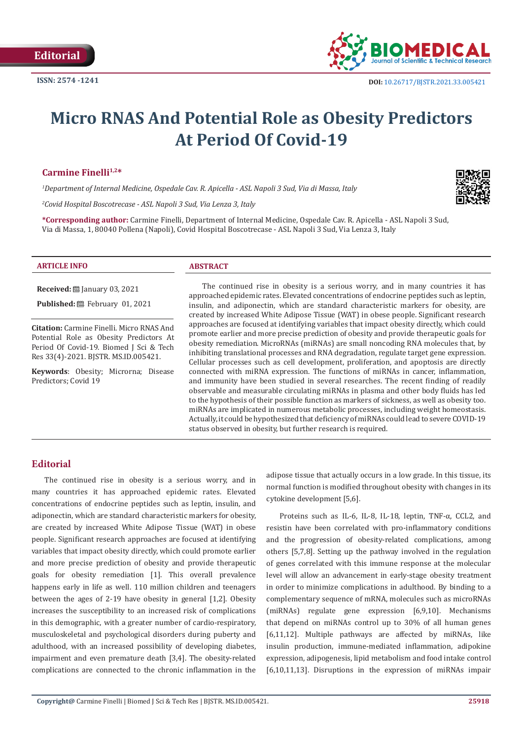

# **Micro RNAS And Potential Role as Obesity Predictors At Period Of Covid-19**

# Carmine Finelli<sup>1,2\*</sup>

*1 Department of Internal Medicine, Ospedale Cav. R. Apicella - ASL Napoli 3 Sud, Via di Massa, Italy*

*2 Covid Hospital Boscotrecase - ASL Napoli 3 Sud, Via Lenza 3, Italy*

**\*Corresponding author:** Carmine Finelli, Department of Internal Medicine, Ospedale Cav. R. Apicella - ASL Napoli 3 Sud, Via di Massa, 1, 80040 Pollena (Napoli), Covid Hospital Boscotrecase - ASL Napoli 3 Sud, Via Lenza 3, Italy

#### **ARTICLE INFO ABSTRACT**

**Received:** January 03, 2021 **Published: ■**February 01, 2021

**Citation:** Carmine Finelli. Micro RNAS And Potential Role as Obesity Predictors At Period Of Covid-19. Biomed J Sci & Tech Res 33(4)-2021. BJSTR. MS.ID.005421.

**Keywords**: Obesity; Microrna; Disease Predictors; Covid 19

The continued rise in obesity is a serious worry, and in many countries it has approached epidemic rates. Elevated concentrations of endocrine peptides such as leptin, insulin, and adiponectin, which are standard characteristic markers for obesity, are created by increased White Adipose Tissue (WAT) in obese people. Significant research approaches are focused at identifying variables that impact obesity directly, which could promote earlier and more precise prediction of obesity and provide therapeutic goals for obesity remediation. MicroRNAs (miRNAs) are small noncoding RNA molecules that, by inhibiting translational processes and RNA degradation, regulate target gene expression. Cellular processes such as cell development, proliferation, and apoptosis are directly connected with miRNA expression. The functions of miRNAs in cancer, inflammation, and immunity have been studied in several researches. The recent finding of readily observable and measurable circulating miRNAs in plasma and other body fluids has led to the hypothesis of their possible function as markers of sickness, as well as obesity too. miRNAs are implicated in numerous metabolic processes, including weight homeostasis. Actually, it could be hypothesized that deficiency of miRNAs could lead to severe COVID-19 status observed in obesity, but further research is required.

# **Editorial**

The continued rise in obesity is a serious worry, and in many countries it has approached epidemic rates. Elevated concentrations of endocrine peptides such as leptin, insulin, and adiponectin, which are standard characteristic markers for obesity, are created by increased White Adipose Tissue (WAT) in obese people. Significant research approaches are focused at identifying variables that impact obesity directly, which could promote earlier and more precise prediction of obesity and provide therapeutic goals for obesity remediation [1]. This overall prevalence happens early in life as well. 110 million children and teenagers between the ages of 2-19 have obesity in general [1,2]. Obesity increases the susceptibility to an increased risk of complications in this demographic, with a greater number of cardio-respiratory, musculoskeletal and psychological disorders during puberty and adulthood, with an increased possibility of developing diabetes, impairment and even premature death [3,4]. The obesity-related complications are connected to the chronic inflammation in the adipose tissue that actually occurs in a low grade. In this tissue, its normal function is modified throughout obesity with changes in its cytokine development [5,6].

Proteins such as IL-6, IL-8, IL-18, leptin, TNF-α, CCL2, and resistin have been correlated with pro-inflammatory conditions and the progression of obesity-related complications, among others [5,7,8]. Setting up the pathway involved in the regulation of genes correlated with this immune response at the molecular level will allow an advancement in early-stage obesity treatment in order to minimize complications in adulthood. By binding to a complementary sequence of mRNA, molecules such as microRNAs (miRNAs) regulate gene expression [6,9,10]. Mechanisms that depend on miRNAs control up to 30% of all human genes [6,11,12]. Multiple pathways are affected by miRNAs, like insulin production, immune-mediated inflammation, adipokine expression, adipogenesis, lipid metabolism and food intake control [6,10,11,13]. Disruptions in the expression of miRNAs impair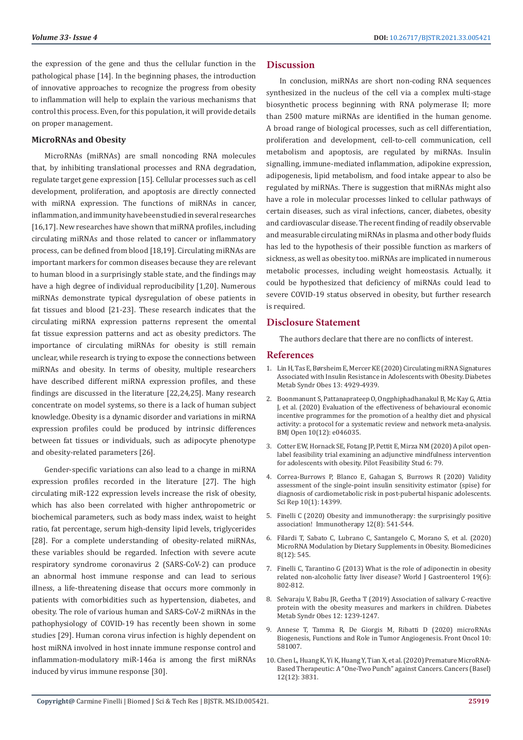the expression of the gene and thus the cellular function in the pathological phase [14]. In the beginning phases, the introduction of innovative approaches to recognize the progress from obesity to inflammation will help to explain the various mechanisms that control this process. Even, for this population, it will provide details on proper management.

### **MicroRNAs and Obesity**

MicroRNAs (miRNAs) are small noncoding RNA molecules that, by inhibiting translational processes and RNA degradation, regulate target gene expression [15]. Cellular processes such as cell development, proliferation, and apoptosis are directly connected with miRNA expression. The functions of miRNAs in cancer, inflammation, and immunity have been studied in several researches [16,17]. New researches have shown that miRNA profiles, including circulating miRNAs and those related to cancer or inflammatory process, can be defined from blood [18,19]. Circulating miRNAs are important markers for common diseases because they are relevant to human blood in a surprisingly stable state, and the findings may have a high degree of individual reproducibility [1,20]. Numerous miRNAs demonstrate typical dysregulation of obese patients in fat tissues and blood [21-23]. These research indicates that the circulating miRNA expression patterns represent the omental fat tissue expression patterns and act as obesity predictors. The importance of circulating miRNAs for obesity is still remain unclear, while research is trying to expose the connections between miRNAs and obesity. In terms of obesity, multiple researchers have described different miRNA expression profiles, and these findings are discussed in the literature [22,24,25]. Many research concentrate on model systems, so there is a lack of human subject knowledge. Obesity is a dynamic disorder and variations in miRNA expression profiles could be produced by intrinsic differences between fat tissues or individuals, such as adipocyte phenotype and obesity-related parameters [26].

Gender-specific variations can also lead to a change in miRNA expression profiles recorded in the literature [27]. The high circulating miR-122 expression levels increase the risk of obesity, which has also been correlated with higher anthropometric or biochemical parameters, such as body mass index, waist to height ratio, fat percentage, serum high-density lipid levels, triglycerides [28]. For a complete understanding of obesity-related miRNAs, these variables should be regarded. Infection with severe acute respiratory syndrome coronavirus 2 (SARS-CoV-2) can produce an abnormal host immune response and can lead to serious illness, a life-threatening disease that occurs more commonly in patients with comorbidities such as hypertension, diabetes, and obesity. The role of various human and SARS-CoV-2 miRNAs in the pathophysiology of COVID-19 has recently been shown in some studies [29]. Human corona virus infection is highly dependent on host miRNA involved in host innate immune response control and inflammation-modulatory miR-146a is among the first miRNAs induced by virus immune response [30].

# **Discussion**

In conclusion, miRNAs are short non-coding RNA sequences synthesized in the nucleus of the cell via a complex multi-stage biosynthetic process beginning with RNA polymerase II; more than 2500 mature miRNAs are identified in the human genome. A broad range of biological processes, such as cell differentiation, proliferation and development, cell-to-cell communication, cell metabolism and apoptosis, are regulated by miRNAs. Insulin signalling, immune-mediated inflammation, adipokine expression, adipogenesis, lipid metabolism, and food intake appear to also be regulated by miRNAs. There is suggestion that miRNAs might also have a role in molecular processes linked to cellular pathways of certain diseases, such as viral infections, cancer, diabetes, obesity and cardiovascular disease. The recent finding of readily observable and measurable circulating miRNAs in plasma and other body fluids has led to the hypothesis of their possible function as markers of sickness, as well as obesity too. miRNAs are implicated in numerous metabolic processes, including weight homeostasis. Actually, it could be hypothesized that deficiency of miRNAs could lead to severe COVID-19 status observed in obesity, but further research is required.

# **Disclosure Statement**

The authors declare that there are no conflicts of interest.

#### **References**

- 1. [Lin H, Tas E, Børsheim E, Mercer KE \(2020\) Circulating miRNA Signatures](https://pubmed.ncbi.nlm.nih.gov/33328751/) [Associated with Insulin Resistance in Adolescents with Obesity. Diabetes](https://pubmed.ncbi.nlm.nih.gov/33328751/) [Metab Syndr Obes 13: 4929-4939.](https://pubmed.ncbi.nlm.nih.gov/33328751/)
- 2. [Boonmanunt S, Pattanaprateep O, Ongphiphadhanakul B, Mc Kay G, Attia](https://pubmed.ncbi.nlm.nih.gov/33371052/) [J, et al. \(2020\) Evaluation of the effectiveness of behavioural economic](https://pubmed.ncbi.nlm.nih.gov/33371052/) [incentive programmes for the promotion of a healthy diet and physical](https://pubmed.ncbi.nlm.nih.gov/33371052/) [activity: a protocol for a systematic review and network meta-analysis.](https://pubmed.ncbi.nlm.nih.gov/33371052/) [BMJ Open 10\(12\): e046035.](https://pubmed.ncbi.nlm.nih.gov/33371052/)
- 3. [Cotter EW, Hornack SE, Fotang JP, Pettit E, Mirza NM \(2020\) A pilot open](https://pubmed.ncbi.nlm.nih.gov/32518670/)[label feasibility trial examining an adjunctive mindfulness intervention](https://pubmed.ncbi.nlm.nih.gov/32518670/) [for adolescents with obesity. Pilot Feasibility Stud 6: 79.](https://pubmed.ncbi.nlm.nih.gov/32518670/)
- 4. [Correa-Burrows P, Blanco E, Gahagan S, Burrows R \(2020\) Validity](https://www.nature.com/articles/s41598-020-71074-y) [assessment of the single-point insulin sensitivity estimator \(spise\) for](https://www.nature.com/articles/s41598-020-71074-y) [diagnosis of cardiometabolic risk in post-pubertal hispanic adolescents.](https://www.nature.com/articles/s41598-020-71074-y) [Sci Rep 10\(1\): 14399.](https://www.nature.com/articles/s41598-020-71074-y)
- 5. [Finelli C \(2020\) Obesity and immunotherapy: the surprisingly positive](https://pubmed.ncbi.nlm.nih.gov/32345093/) [association! Immunotherapy 12\(8\): 541-544.](https://pubmed.ncbi.nlm.nih.gov/32345093/)
- 6. [Filardi T, Sabato C, Lubrano C, Santangelo C, Morano S, et al. \(2020\)](https://pubmed.ncbi.nlm.nih.gov/33261062/) [MicroRNA Modulation by Dietary Supplements in Obesity. Biomedicines](https://pubmed.ncbi.nlm.nih.gov/33261062/) [8\(12\): 545.](https://pubmed.ncbi.nlm.nih.gov/33261062/)
- 7. [Finelli C, Tarantino G \(2013\) What is the role of adiponectin in obesity](https://pubmed.ncbi.nlm.nih.gov/23430039/) [related non-alcoholic fatty liver disease? World J Gastroenterol 19\(6\):](https://pubmed.ncbi.nlm.nih.gov/23430039/) [802-812.](https://pubmed.ncbi.nlm.nih.gov/23430039/)
- 8. [Selvaraju V, Babu JR, Geetha T \(2019\) Association of salivary C-reactive](https://pubmed.ncbi.nlm.nih.gov/31413613/) [protein with the obesity measures and markers in children. Diabetes](https://pubmed.ncbi.nlm.nih.gov/31413613/) [Metab Syndr Obes 12: 1239-1247.](https://pubmed.ncbi.nlm.nih.gov/31413613/)
- 9. [Annese T, Tamma R, De Giorgis M, Ribatti D \(2020\) microRNAs](https://pubmed.ncbi.nlm.nih.gov/33330058/) [Biogenesis, Functions and Role in Tumor Angiogenesis. Front Oncol 10:](https://pubmed.ncbi.nlm.nih.gov/33330058/) [581007.](https://pubmed.ncbi.nlm.nih.gov/33330058/)
- 10. [Chen L, Huang K, Yi K, Huang Y, Tian X, et al. \(2020\) Premature MicroRNA-](https://pubmed.ncbi.nlm.nih.gov/33353171/)[Based Therapeutic: A "One-Two Punch" against Cancers. Cancers \(Basel\)](https://pubmed.ncbi.nlm.nih.gov/33353171/) [12\(12\): 3831.](https://pubmed.ncbi.nlm.nih.gov/33353171/)